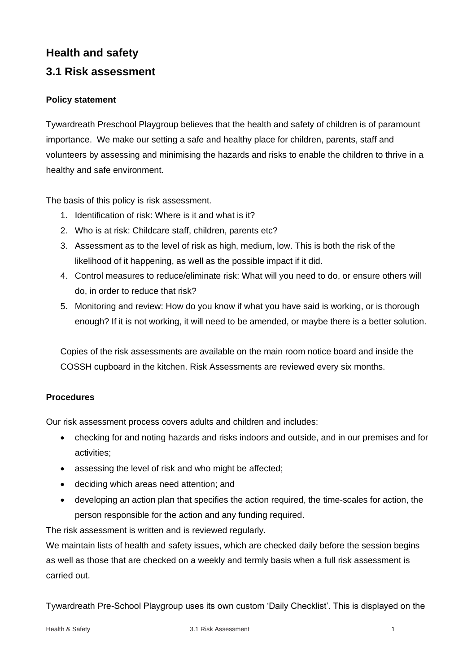## **Health and safety**

## **3.1 Risk assessment**

## **Policy statement**

Tywardreath Preschool Playgroup believes that the health and safety of children is of paramount importance. We make our setting a safe and healthy place for children, parents, staff and volunteers by assessing and minimising the hazards and risks to enable the children to thrive in a healthy and safe environment.

The basis of this policy is risk assessment.

- 1. Identification of risk: Where is it and what is it?
- 2. Who is at risk: Childcare staff, children, parents etc?
- 3. Assessment as to the level of risk as high, medium, low. This is both the risk of the likelihood of it happening, as well as the possible impact if it did.
- 4. Control measures to reduce/eliminate risk: What will you need to do, or ensure others will do, in order to reduce that risk?
- 5. Monitoring and review: How do you know if what you have said is working, or is thorough enough? If it is not working, it will need to be amended, or maybe there is a better solution.

Copies of the risk assessments are available on the main room notice board and inside the COSSH cupboard in the kitchen. Risk Assessments are reviewed every six months.

## **Procedures**

Our risk assessment process covers adults and children and includes:

- checking for and noting hazards and risks indoors and outside, and in our premises and for activities;
- assessing the level of risk and who might be affected;
- deciding which areas need attention; and
- developing an action plan that specifies the action required, the time-scales for action, the person responsible for the action and any funding required.

The risk assessment is written and is reviewed regularly.

We maintain lists of health and safety issues, which are checked daily before the session begins as well as those that are checked on a weekly and termly basis when a full risk assessment is carried out.

Tywardreath Pre-School Playgroup uses its own custom 'Daily Checklist'. This is displayed on the